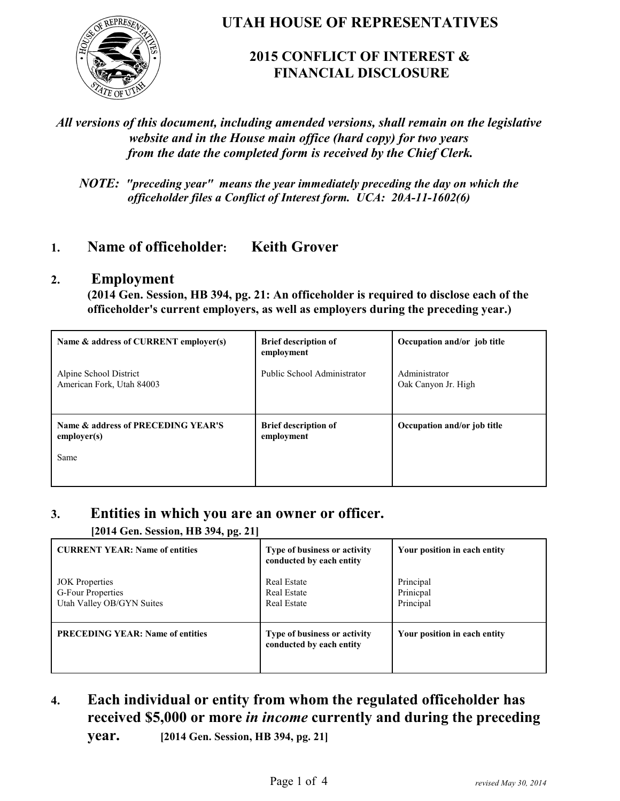

**UTAH HOUSE OF REPRESENTATIVES**

## **2015 CONFLICT OF INTEREST & FINANCIAL DISCLOSURE**

### *All versions of this document, including amended versions, shall remain on the legislative website and in the House main office (hard copy) for two years from the date the completed form is received by the Chief Clerk.*

*NOTE: "preceding year" means the year immediately preceding the day on which the officeholder files a Conflict of Interest form. UCA: 20A-11-1602(6)*

## **1. Name of officeholder: Keith Grover**

### **2. Employment**

**(2014 Gen. Session, HB 394, pg. 21: An officeholder is required to disclose each of the officeholder's current employers, as well as employers during the preceding year.)**

| Name & address of CURRENT employer(s)               | <b>Brief description of</b><br>employment | Occupation and/or job title          |
|-----------------------------------------------------|-------------------------------------------|--------------------------------------|
| Alpine School District<br>American Fork, Utah 84003 | Public School Administrator               | Administrator<br>Oak Canyon Jr. High |
| Name & address of PRECEDING YEAR'S<br>emplover(s)   | <b>Brief description of</b><br>employment | Occupation and/or job title          |
| Same                                                |                                           |                                      |

### **3. Entities in which you are an owner or officer.**

**[2014 Gen. Session, HB 394, pg. 21]**

| <b>CURRENT YEAR: Name of entities</b>                                   | Type of business or activity<br>conducted by each entity       | Your position in each entity        |
|-------------------------------------------------------------------------|----------------------------------------------------------------|-------------------------------------|
| <b>JOK</b> Properties<br>G-Four Properties<br>Utah Valley OB/GYN Suites | <b>Real Estate</b><br><b>Real Estate</b><br><b>Real Estate</b> | Principal<br>Prinicpal<br>Principal |
| <b>PRECEDING YEAR: Name of entities</b>                                 | Type of business or activity<br>conducted by each entity       | Your position in each entity        |

**4. Each individual or entity from whom the regulated officeholder has received \$5,000 or more** *in income* **currently and during the preceding**

**year. [2014 Gen. Session, HB 394, pg. 21]**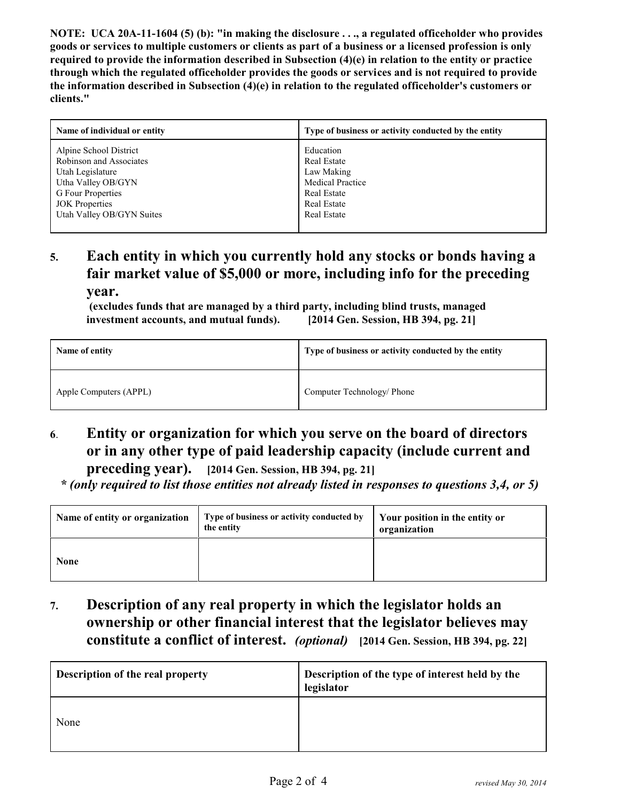**NOTE: UCA 20A-11-1604 (5) (b): "in making the disclosure . . ., a regulated officeholder who provides goods or services to multiple customers or clients as part of a business or a licensed profession is only required to provide the information described in Subsection (4)(e) in relation to the entity or practice through which the regulated officeholder provides the goods or services and is not required to provide the information described in Subsection (4)(e) in relation to the regulated officeholder's customers or clients."**

| Name of individual or entity | Type of business or activity conducted by the entity |
|------------------------------|------------------------------------------------------|
| Alpine School District       | Education                                            |
| Robinson and Associates      | <b>Real Estate</b>                                   |
| Utah Legislature             | Law Making                                           |
| Utha Valley OB/GYN           | <b>Medical Practice</b>                              |
| G Four Properties            | <b>Real Estate</b>                                   |
| <b>JOK</b> Properties        | <b>Real Estate</b>                                   |
| Utah Valley OB/GYN Suites    | <b>Real Estate</b>                                   |
|                              |                                                      |

# **5. Each entity in which you currently hold any stocks or bonds having a fair market value of \$5,000 or more, including info for the preceding**

**year.**

 **(excludes funds that are managed by a third party, including blind trusts, managed investment accounts, and mutual funds). [2014 Gen. Session, HB 394, pg. 21]**

| Name of entity         | Type of business or activity conducted by the entity |
|------------------------|------------------------------------------------------|
| Apple Computers (APPL) | Computer Technology/ Phone                           |

# **6**. **Entity or organization for which you serve on the board of directors or in any other type of paid leadership capacity (include current and**

**preceding year). [2014 Gen. Session, HB 394, pg. 21]**

 *\* (only required to list those entities not already listed in responses to questions 3,4, or 5)*

| Name of entity or organization | Type of business or activity conducted by<br>the entity | Your position in the entity or<br>organization |
|--------------------------------|---------------------------------------------------------|------------------------------------------------|
| <b>None</b>                    |                                                         |                                                |

**7. Description of any real property in which the legislator holds an ownership or other financial interest that the legislator believes may constitute a conflict of interest.** *(optional)* **[2014 Gen. Session, HB 394, pg. 22]**

| Description of the real property | Description of the type of interest held by the<br>legislator |
|----------------------------------|---------------------------------------------------------------|
| None                             |                                                               |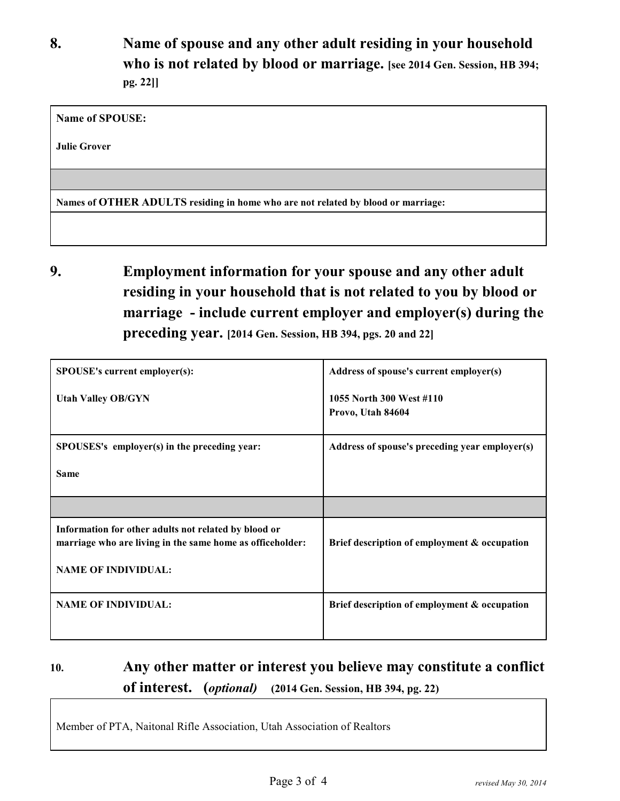**8. Name of spouse and any other adult residing in your household who is not related by blood or marriage. [see 2014 Gen. Session, HB 394; pg. 22]]**

**Name of SPOUSE:** 

**Julie Grover**

**Names of OTHER ADULTS residing in home who are not related by blood or marriage:**

**9. Employment information for your spouse and any other adult residing in your household that is not related to you by blood or marriage - include current employer and employer(s) during the preceding year. [2014 Gen. Session, HB 394, pgs. 20 and 22]**

| SPOUSE's current employer(s):                                                                                                                   | Address of spouse's current employer(s)        |
|-------------------------------------------------------------------------------------------------------------------------------------------------|------------------------------------------------|
| <b>Utah Valley OB/GYN</b>                                                                                                                       | 1055 North 300 West #110<br>Provo, Utah 84604  |
| SPOUSES's employer(s) in the preceding year:                                                                                                    | Address of spouse's preceding year employer(s) |
| <b>Same</b>                                                                                                                                     |                                                |
|                                                                                                                                                 |                                                |
| Information for other adults not related by blood or<br>marriage who are living in the same home as officeholder:<br><b>NAME OF INDIVIDUAL:</b> | Brief description of employment & occupation   |
|                                                                                                                                                 |                                                |
| <b>NAME OF INDIVIDUAL:</b>                                                                                                                      | Brief description of employment & occupation   |

# **10. Any other matter or interest you believe may constitute a conflict of interest. (***optional)* **(2014 Gen. Session, HB 394, pg. 22)**

Member of PTA, Naitonal Rifle Association, Utah Association of Realtors